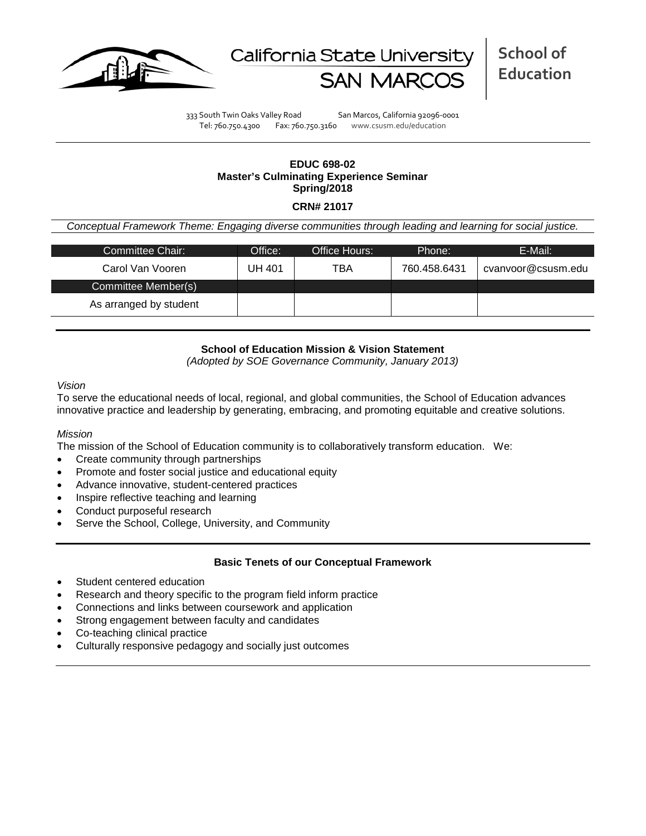



333 South Twin Oaks Valley Road San Marcos, California 92096-0001 Tel: 760.750.4300 Fax: 760.750.3160 www.csusm.edu/education

# **EDUC 698-02 Master's Culminating Experience Seminar Spring/2018**

### **CRN# 21017**

*Conceptual Framework Theme: Engaging diverse communities through leading and learning for social justice.*

| Committee Chair:       | Office: | Office Hours: | Phone:       | E-Mail:            |  |  |  |
|------------------------|---------|---------------|--------------|--------------------|--|--|--|
| Carol Van Vooren       | UH 401  | TBA           | 760.458.6431 | cvanyoor@csusm.edu |  |  |  |
| Committee Member(s)    |         |               |              |                    |  |  |  |
| As arranged by student |         |               |              |                    |  |  |  |

## **School of Education Mission & Vision Statement**

*(Adopted by SOE Governance Community, January 2013)*

*Vision*

To serve the educational needs of local, regional, and global communities, the School of Education advances innovative practice and leadership by generating, embracing, and promoting equitable and creative solutions.

#### *Mission*

The mission of the School of Education community is to collaboratively transform education. We:

- Create community through partnerships
- Promote and foster social justice and educational equity
- Advance innovative, student-centered practices
- Inspire reflective teaching and learning
- Conduct purposeful research
- Serve the School, College, University, and Community

#### **Basic Tenets of our Conceptual Framework**

- Student centered education
- Research and theory specific to the program field inform practice
- Connections and links between coursework and application
- Strong engagement between faculty and candidates
- Co-teaching clinical practice
- Culturally responsive pedagogy and socially just outcomes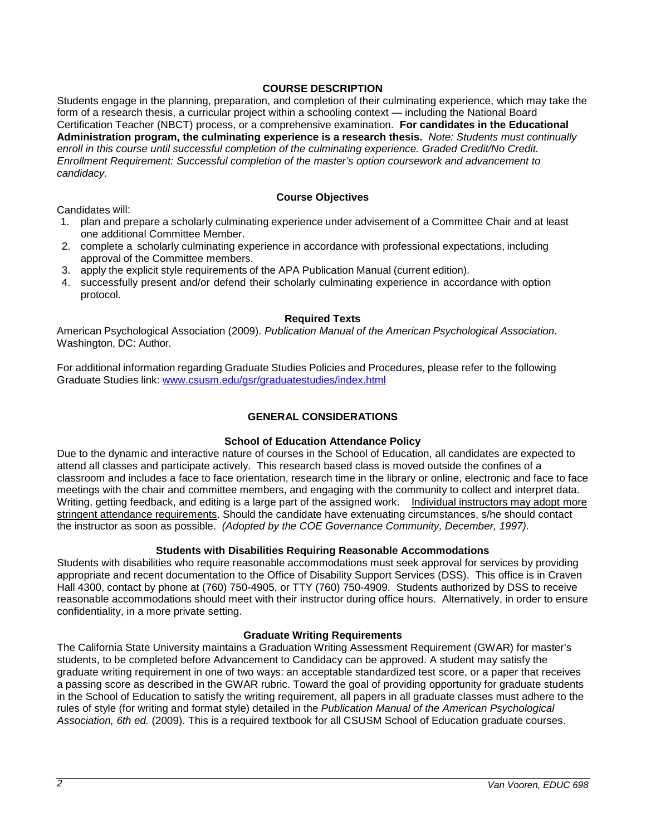## **COURSE DESCRIPTION**

Students engage in the planning, preparation, and completion of their culminating experience, which may take the form of a research thesis, a curricular project within a schooling context — including the National Board Certification Teacher (NBCT) process, or a comprehensive examination. **For candidates in the Educational Administration program, the culminating experience is a research thesis.** *Note: Students must continually enroll in this course until successful completion of the culminating experience. Graded Credit/No Credit. Enrollment Requirement: Successful completion of the master's option coursework and advancement to candidacy.*

### **Course Objectives**

Candidates will:

- 1. plan and prepare a scholarly culminating experience under advisement of a Committee Chair and at least one additional Committee Member.
- 2. complete a scholarly culminating experience in accordance with professional expectations, including approval of the Committee members.
- 3. apply the explicit style requirements of the APA Publication Manual (current edition).
- 4. successfully present and/or defend their scholarly culminating experience in accordance with option protocol.

### **Required Texts**

American Psychological Association (2009). *Publication Manual of the American Psychological Association*. Washington, DC: Author.

For additional information regarding Graduate Studies Policies and Procedures, please refer to the following Graduate Studies link: [www.csusm.edu/gsr/graduatestudies/index.html](http://www.csusm.edu/gsr/graduatestudies/index.html)

## **GENERAL CONSIDERATIONS**

## **School of Education Attendance Policy**

Due to the dynamic and interactive nature of courses in the School of Education, all candidates are expected to attend all classes and participate actively. This research based class is moved outside the confines of a classroom and includes a face to face orientation, research time in the library or online, electronic and face to face meetings with the chair and committee members, and engaging with the community to collect and interpret data. Writing, getting feedback, and editing is a large part of the assigned work. Individual instructors may adopt more stringent attendance requirements. Should the candidate have extenuating circumstances, s/he should contact the instructor as soon as possible. *(Adopted by the COE Governance Community, December, 1997).*

## **Students with Disabilities Requiring Reasonable Accommodations**

Students with disabilities who require reasonable accommodations must seek approval for services by providing appropriate and recent documentation to the Office of Disability Support Services (DSS). This office is in Craven Hall 4300, contact by phone at (760) 750-4905, or TTY (760) 750-4909. Students authorized by DSS to receive reasonable accommodations should meet with their instructor during office hours. Alternatively, in order to ensure confidentiality, in a more private setting.

#### **Graduate Writing Requirements**

The California State University maintains a Graduation Writing Assessment Requirement (GWAR) for master's students, to be completed before Advancement to Candidacy can be approved. A student may satisfy the graduate writing requirement in one of two ways: an acceptable standardized test score, or a paper that receives a passing score as described in the GWAR rubric. Toward the goal of providing opportunity for graduate students in the School of Education to satisfy the writing requirement, all papers in all graduate classes must adhere to the rules of style (for writing and format style) detailed in the *Publication Manual of the American Psychological Association, 6th ed.* (2009). This is a required textbook for all CSUSM School of Education graduate courses.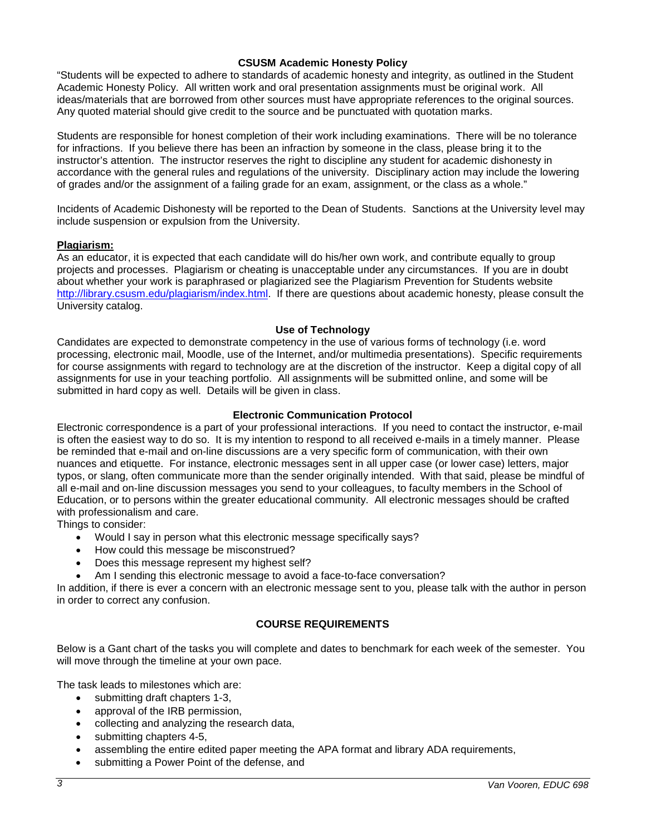### **CSUSM Academic Honesty Policy**

"Students will be expected to adhere to standards of academic honesty and integrity, as outlined in the Student Academic Honesty Policy. All written work and oral presentation assignments must be original work. All ideas/materials that are borrowed from other sources must have appropriate references to the original sources. Any quoted material should give credit to the source and be punctuated with quotation marks.

Students are responsible for honest completion of their work including examinations. There will be no tolerance for infractions. If you believe there has been an infraction by someone in the class, please bring it to the instructor's attention. The instructor reserves the right to discipline any student for academic dishonesty in accordance with the general rules and regulations of the university. Disciplinary action may include the lowering of grades and/or the assignment of a failing grade for an exam, assignment, or the class as a whole."

Incidents of Academic Dishonesty will be reported to the Dean of Students. Sanctions at the University level may include suspension or expulsion from the University.

#### **Plagiarism:**

As an educator, it is expected that each candidate will do his/her own work, and contribute equally to group projects and processes. Plagiarism or cheating is unacceptable under any circumstances. If you are in doubt about whether your work is paraphrased or plagiarized see the Plagiarism Prevention for Students website [http://library.csusm.edu/plagiarism/index.html.](http://library.csusm.edu/plagiarism/index.html) If there are questions about academic honesty, please consult the University catalog.

#### **Use of Technology**

Candidates are expected to demonstrate competency in the use of various forms of technology (i.e. word processing, electronic mail, Moodle, use of the Internet, and/or multimedia presentations). Specific requirements for course assignments with regard to technology are at the discretion of the instructor. Keep a digital copy of all assignments for use in your teaching portfolio. All assignments will be submitted online, and some will be submitted in hard copy as well. Details will be given in class.

### **Electronic Communication Protocol**

Electronic correspondence is a part of your professional interactions. If you need to contact the instructor, e-mail is often the easiest way to do so. It is my intention to respond to all received e-mails in a timely manner. Please be reminded that e-mail and on-line discussions are a very specific form of communication, with their own nuances and etiquette. For instance, electronic messages sent in all upper case (or lower case) letters, major typos, or slang, often communicate more than the sender originally intended. With that said, please be mindful of all e-mail and on-line discussion messages you send to your colleagues, to faculty members in the School of Education, or to persons within the greater educational community. All electronic messages should be crafted with professionalism and care.

Things to consider:

- Would I say in person what this electronic message specifically says?
- How could this message be misconstrued?
- Does this message represent my highest self?
- Am I sending this electronic message to avoid a face-to-face conversation?

In addition, if there is ever a concern with an electronic message sent to you, please talk with the author in person in order to correct any confusion.

## **COURSE REQUIREMENTS**

Below is a Gant chart of the tasks you will complete and dates to benchmark for each week of the semester. You will move through the timeline at your own pace.

The task leads to milestones which are:

- submitting draft chapters 1-3,
- approval of the IRB permission,
- collecting and analyzing the research data,
- submitting chapters 4-5,
- assembling the entire edited paper meeting the APA format and library ADA requirements,
- submitting a Power Point of the defense, and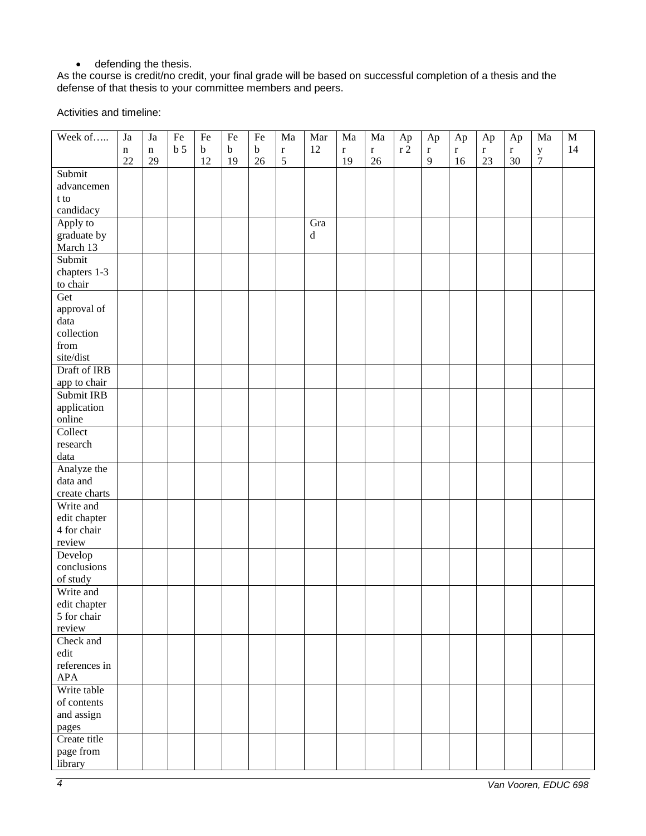# • defending the thesis.

As the course is credit/no credit, your final grade will be based on successful completion of a thesis and the defense of that thesis to your committee members and peers.

Activities and timeline:

| Week of<br>Ap<br>Ap<br>Ap<br>Ap<br>Ap                                                                                                                                                                             | $\mathbf M$ |
|-------------------------------------------------------------------------------------------------------------------------------------------------------------------------------------------------------------------|-------------|
| b <sub>5</sub><br>12<br>$\sqrt{r}$ 2<br>$\mathbf b$<br>$\bf b$<br>$\mathbf b$<br>$\mathbf r$<br>$\mathbf r$<br>$\bf r$<br>$\mathbf r$<br>$\mathbf r$<br>$\mathbf n$<br>$\mathbf r$<br>$\bf r$<br>$\mathbf y$<br>n | 14          |
| $\sqrt{5}$<br>$\tau$<br>22<br>29<br>19<br>9<br>23<br>12<br>19<br>26<br>26<br>16<br>30                                                                                                                             |             |
| Submit                                                                                                                                                                                                            |             |
| advancemen                                                                                                                                                                                                        |             |
| t to                                                                                                                                                                                                              |             |
| candidacy                                                                                                                                                                                                         |             |
| Apply to<br>Gra                                                                                                                                                                                                   |             |
| graduate by<br>$\rm d$                                                                                                                                                                                            |             |
| March 13                                                                                                                                                                                                          |             |
| Submit                                                                                                                                                                                                            |             |
| chapters 1-3                                                                                                                                                                                                      |             |
| to chair                                                                                                                                                                                                          |             |
| Get                                                                                                                                                                                                               |             |
| approval of                                                                                                                                                                                                       |             |
| data                                                                                                                                                                                                              |             |
| collection                                                                                                                                                                                                        |             |
| from                                                                                                                                                                                                              |             |
| site/dist                                                                                                                                                                                                         |             |
| Draft of IRB                                                                                                                                                                                                      |             |
| app to chair                                                                                                                                                                                                      |             |
| Submit IRB                                                                                                                                                                                                        |             |
| application                                                                                                                                                                                                       |             |
| online                                                                                                                                                                                                            |             |
| Collect                                                                                                                                                                                                           |             |
| research                                                                                                                                                                                                          |             |
| data                                                                                                                                                                                                              |             |
| Analyze the                                                                                                                                                                                                       |             |
| data and                                                                                                                                                                                                          |             |
| create charts                                                                                                                                                                                                     |             |
| Write and                                                                                                                                                                                                         |             |
| edit chapter                                                                                                                                                                                                      |             |
| 4 for chair                                                                                                                                                                                                       |             |
| review                                                                                                                                                                                                            |             |
| Develop                                                                                                                                                                                                           |             |
| conclusions                                                                                                                                                                                                       |             |
| of study                                                                                                                                                                                                          |             |
| Write and                                                                                                                                                                                                         |             |
| edit chapter                                                                                                                                                                                                      |             |
| 5 for chair                                                                                                                                                                                                       |             |
| review                                                                                                                                                                                                            |             |
| Check and                                                                                                                                                                                                         |             |
| edit                                                                                                                                                                                                              |             |
| references in                                                                                                                                                                                                     |             |
| <b>APA</b>                                                                                                                                                                                                        |             |
| Write table                                                                                                                                                                                                       |             |
| of contents                                                                                                                                                                                                       |             |
| and assign                                                                                                                                                                                                        |             |
| pages                                                                                                                                                                                                             |             |
| Create title                                                                                                                                                                                                      |             |
| page from                                                                                                                                                                                                         |             |
| library                                                                                                                                                                                                           |             |